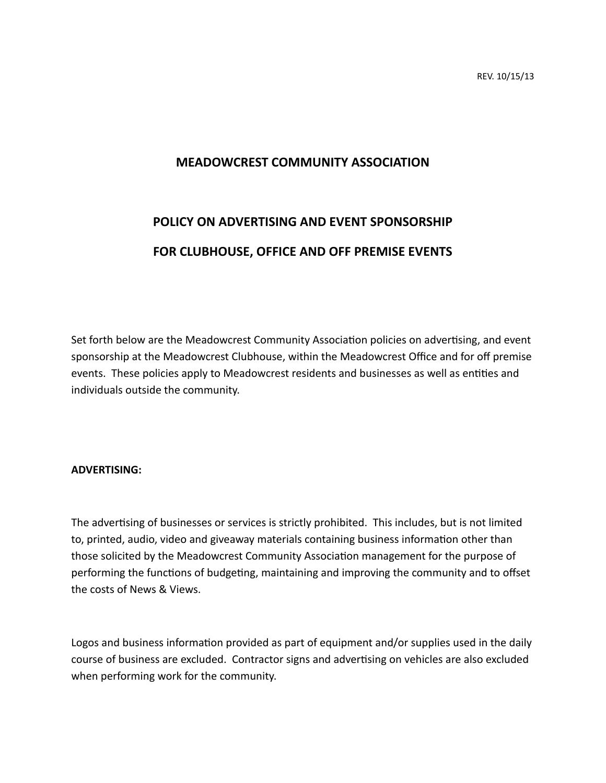## **MEADOWCREST COMMUNITY ASSOCIATION**

## **POLICY ON ADVERTISING AND EVENT SPONSORSHIP FOR CLUBHOUSE, OFFICE AND OFF PREMISE EVENTS**

Set forth below are the Meadowcrest Community Association policies on advertising, and event sponsorship at the Meadowcrest Clubhouse, within the Meadowcrest Office and for off premise events. These policies apply to Meadowcrest residents and businesses as well as entities and individuals outside the community.

## **ADVERTISING:**

The advertising of businesses or services is strictly prohibited. This includes, but is not limited to, printed, audio, video and giveaway materials containing business information other than those solicited by the Meadowcrest Community Association management for the purpose of performing the functions of budgeting, maintaining and improving the community and to offset the costs of News & Views.

Logos and business information provided as part of equipment and/or supplies used in the daily course of business are excluded. Contractor signs and advertising on vehicles are also excluded when performing work for the community.